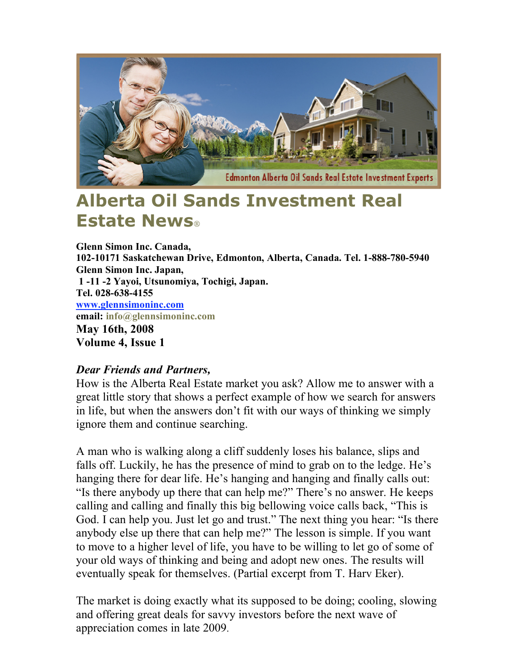

## **Alberta Oil Sands Investment Real Estate News**

**Glenn Simon Inc. Canada, 102-10171 Saskatchewan Drive, Edmonton, Alberta, Canada. Tel. 1-888-780-5940 Glenn Simon Inc. Japan, 1 -11 -2 Yayoi, Utsunomiya, Tochigi, Japan. Tel. 028-638-4155 www.glennsimoninc.com email: info@glennsimoninc.com May 16th, 2008 Volume 4, Issue 1**

## *Dear Friends and Partners,*

How is the Alberta Real Estate market you ask? Allow me to answer with a great little story that shows a perfect example of how we search for answers in life, but when the answers don't fit with our ways of thinking we simply ignore them and continue searching.

A man who is walking along a cliff suddenly loses his balance, slips and falls off. Luckily, he has the presence of mind to grab on to the ledge. He's hanging there for dear life. He's hanging and hanging and finally calls out: "Is there anybody up there that can help me?" There's no answer. He keeps calling and calling and finally this big bellowing voice calls back, "This is God. I can help you. Just let go and trust." The next thing you hear: "Is there anybody else up there that can help me?" The lesson is simple. If you want to move to a higher level of life, you have to be willing to let go of some of your old ways of thinking and being and adopt new ones. The results will eventually speak for themselves. (Partial excerpt from T. Harv Eker).

The market is doing exactly what its supposed to be doing; cooling, slowing and offering great deals for savvy investors before the next wave of appreciation comes in late 2009.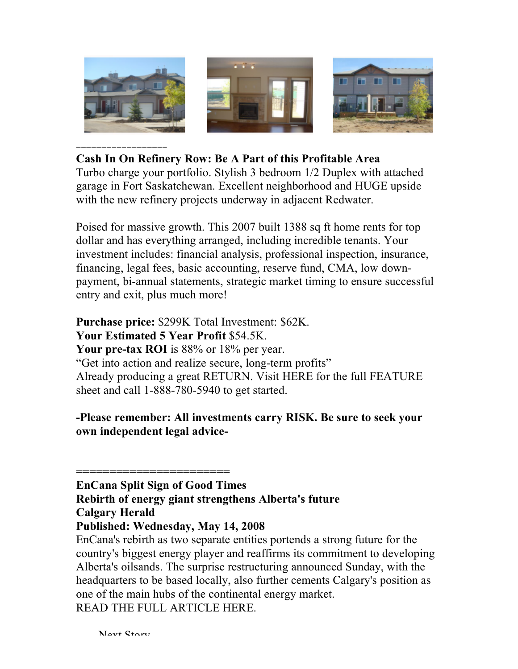

## **Cash In On Refinery Row: Be A Part of this Profitable Area**

Turbo charge your portfolio. Stylish 3 bedroom 1/2 Duplex with attached garage in Fort Saskatchewan. Excellent neighborhood and HUGE upside with the new refinery projects underway in adjacent Redwater.

Poised for massive growth. This 2007 built 1388 sq ft home rents for top dollar and has everything arranged, including incredible tenants. Your investment includes: financial analysis, professional inspection, insurance, financing, legal fees, basic accounting, reserve fund, CMA, low downpayment, bi-annual statements, strategic market timing to ensure successful entry and exit, plus much more!

**Purchase price:** \$299K Total Investment: \$62K. **Your Estimated 5 Year Profit** \$54.5K. **Your pre-tax ROI** is 88% or 18% per year. "Get into action and realize secure, long-term profits" Already producing a great RETURN. Visit HERE for the full FEATURE sheet and call 1-888-780-5940 to get started.

**-Please remember: All investments carry RISK. Be sure to seek your own independent legal advice-**

## **EnCana Split Sign of Good Times Rebirth of energy giant strengthens Alberta's future Calgary Herald Published: Wednesday, May 14, 2008**

=======================

EnCana's rebirth as two separate entities portends a strong future for the country's biggest energy player and reaffirms its commitment to developing Alberta's oilsands. The surprise restructuring announced Sunday, with the headquarters to be based locally, also further cements Calgary's position as one of the main hubs of the continental energy market. READ THE FULL ARTICLE HERE.